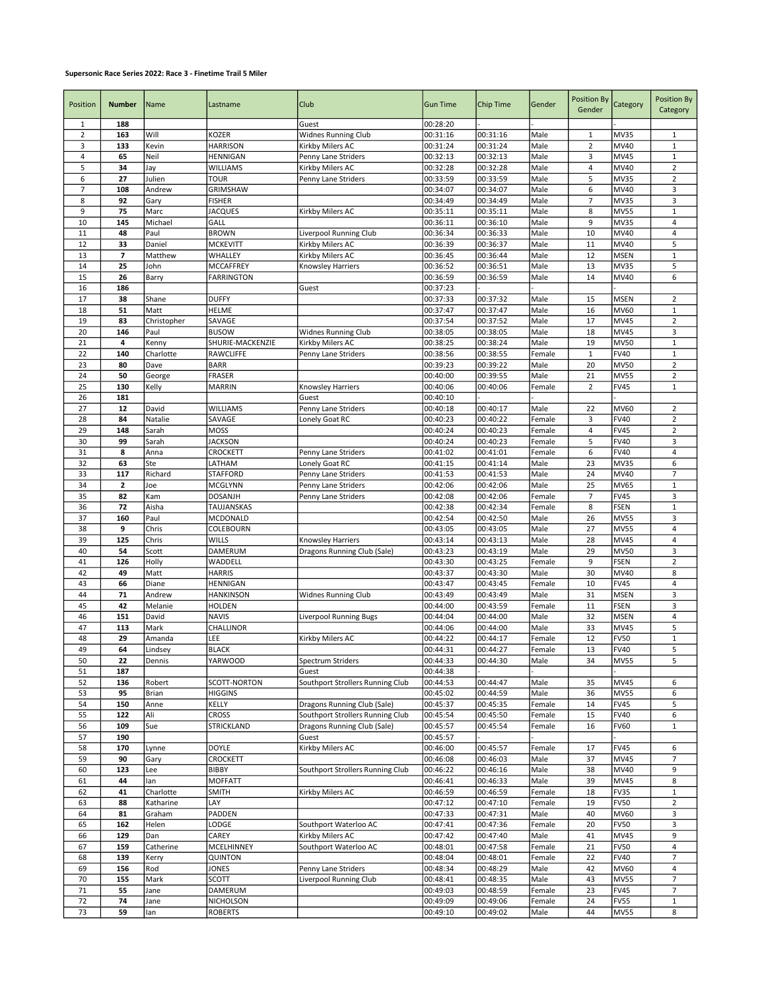## Supersonic Race Series 2022: Race 3 - Finetime Trail 5 Miler

| Position       | <b>Number</b> | Name             | Lastname                       | Club                                    | <b>Gun Time</b>      | <b>Chip Time</b>     | Gender           | <b>Position By</b>  | Category                   | Position By                  |
|----------------|---------------|------------------|--------------------------------|-----------------------------------------|----------------------|----------------------|------------------|---------------------|----------------------------|------------------------------|
|                |               |                  |                                |                                         |                      |                      |                  | Gender              |                            | Category                     |
| $\mathbf{1}$   | 188           |                  |                                | Guest                                   | 00:28:20             |                      |                  |                     |                            |                              |
| $\overline{2}$ | 163           | Will             | <b>KOZER</b>                   | <b>Widnes Running Club</b>              | 00:31:16             | 00:31:16             | Male             | $\mathbf{1}$        | <b>MV35</b>                | 1                            |
| 3<br>4         | 133<br>65     | Kevin<br>Neil    | <b>HARRISON</b><br>HENNIGAN    | Kirkby Milers AC                        | 00:31:24             | 00:31:24<br>00:32:13 | Male<br>Male     | $\overline{2}$<br>3 | MV40<br><b>MV45</b>        | $\mathbf{1}$<br>$1\,$        |
| 5              | 34            |                  | WILLIAMS                       | Penny Lane Striders<br>Kirkby Milers AC | 00:32:13<br>00:32:28 | 00:32:28             | Male             | $\overline{4}$      | MV40                       | $\mathbf 2$                  |
| 6              | 27            | Jay<br>Julien    | TOUR                           | Penny Lane Striders                     | 00:33:59             | 00:33:59             | Male             | 5                   | <b>MV35</b>                | $\overline{2}$               |
| $\overline{7}$ | 108           | Andrew           | <b>GRIMSHAW</b>                |                                         | 00:34:07             | 00:34:07             | Male             | 6                   | MV40                       | $\mathsf 3$                  |
| 8              | 92            | Gary             | <b>FISHER</b>                  |                                         | 00:34:49             | 00:34:49             | Male             | 7                   | <b>MV35</b>                | $\mathsf 3$                  |
| 9              | 75            | Marc             | <b>JACQUES</b>                 | Kirkby Milers AC                        | 00:35:11             | 00:35:11             | Male             | 8                   | <b>MV55</b>                | $\mathbf{1}$                 |
| 10             | 145           | Michael          | GALL                           |                                         | 00:36:11             | 00:36:10             | Male             | 9                   | <b>MV35</b>                | 4                            |
| 11             | 48            | Paul             | <b>BROWN</b>                   | Liverpool Running Club                  | 00:36:34             | 00:36:33             | Male             | 10                  | MV40                       | $\overline{4}$               |
| 12             | 33            | Daniel           | <b>MCKEVITT</b>                | Kirkby Milers AC                        | 00:36:39             | 00:36:37             | Male             | 11                  | MV40                       | 5                            |
| 13             | 7             | Matthew          | WHALLEY                        | Kirkby Milers AC                        | 00:36:45             | 00:36:44             | Male             | 12                  | <b>MSEN</b>                | $\,1\,$                      |
| 14             | 25            | John             | MCCAFFREY                      | <b>Knowsley Harriers</b>                | 00:36:52             | 00:36:51             | Male             | 13                  | <b>MV35</b>                | 5                            |
| 15             | 26            | Barry            | <b>FARRINGTON</b>              |                                         | 00:36:59             | 00:36:59             | Male             | 14                  | MV40                       | 6                            |
| 16             | 186           |                  |                                | Guest                                   | 00:37:23             |                      |                  |                     |                            |                              |
| 17             | 38            | Shane            | <b>DUFFY</b>                   |                                         | 00:37:33             | 00:37:32             | Male             | 15                  | <b>MSEN</b>                | $\overline{2}$               |
| 18             | 51            | Matt             | <b>HELME</b>                   |                                         | 00:37:47             | 00:37:47             | Male             | 16                  | MV60                       | $\,1\,$                      |
| 19             | 83            | Christopher      | SAVAGE                         |                                         | 00:37:54             | 00:37:52             | Male             | 17                  | <b>MV45</b>                | $\sqrt{2}$                   |
| 20             | 146           | Paul             | <b>BUSOW</b>                   | Widnes Running Club                     | 00:38:05             | 00:38:05             | Male             | 18                  | <b>MV45</b>                | $\mathsf 3$                  |
| 21             | 4             | Kenny            | SHURIE-MACKENZIE               | Kirkby Milers AC                        | 00:38:25             | 00:38:24             | Male             | 19                  | <b>MV50</b>                | $\mathbf{1}$                 |
| 22             | 140           | Charlotte        | RAWCLIFFE                      | Penny Lane Striders                     | 00:38:56             | 00:38:55             | Female           | $\mathbf{1}$        | <b>FV40</b>                | $\mathbf 1$                  |
| 23             | 80            | Dave             | <b>BARR</b>                    |                                         | 00:39:23             | 00:39:22             | Male             | 20                  | <b>MV50</b>                | $\mathbf 2$                  |
| 24             | 50            | George           | <b>FRASER</b>                  |                                         | 00:40:00             | 00:39:55             | Male             | 21                  | <b>MV55</b>                | $\mathbf 2$                  |
| 25             | 130           | Kelly            | <b>MARRIN</b>                  | Knowsley Harriers                       | 00:40:06             | 00:40:06             | Female           | $\overline{2}$      | <b>FV45</b>                | $\mathbf{1}$                 |
| 26             | 181           |                  |                                | Guest<br>Penny Lane Striders            | 00:40:10             |                      |                  |                     |                            |                              |
| 27             | 12            | David            | WILLIAMS<br>SAVAGE             | Lonely Goat RC                          | 00:40:18             | 00:40:17<br>00:40:22 | Male             | 22                  | MV60                       | $\overline{2}$               |
| 28<br>29       | 84<br>148     | Natalie<br>Sarah | <b>MOSS</b>                    |                                         | 00:40:23<br>00:40:24 | 00:40:23             | Female<br>Female | 3<br>$\overline{4}$ | <b>FV40</b><br><b>FV45</b> | $\sqrt{2}$<br>$\overline{2}$ |
| 30             | 99            | Sarah            | <b>JACKSON</b>                 |                                         | 00:40:24             | 00:40:23             | Female           | 5                   | <b>FV40</b>                | $\mathsf 3$                  |
| 31             | 8             | Anna             | CROCKETT                       | Penny Lane Striders                     | 00:41:02             | 00:41:01             | Female           | 6                   | <b>FV40</b>                | $\overline{4}$               |
| 32             | 63            | Ste              | LATHAM                         | Lonely Goat RC                          | 00:41:15             | 00:41:14             | Male             | 23                  | <b>MV35</b>                | 6                            |
| 33             | 117           | Richard          | <b>STAFFORD</b>                | Penny Lane Striders                     | 00:41:53             | 00:41:53             | Male             | 24                  | MV40                       | $\overline{7}$               |
| 34             | 2             | Joe              | <b>MCGLYNN</b>                 | Penny Lane Striders                     | 00:42:06             | 00:42:06             | Male             | 25                  | <b>MV65</b>                | $\mathbf{1}$                 |
| 35             | 82            | Kam              | <b>DOSANJH</b>                 | Penny Lane Striders                     | 00:42:08             | 00:42:06             | Female           | $\overline{7}$      | <b>FV45</b>                | 3                            |
| 36             | 72            | Aisha            | TAUJANSKAS                     |                                         | 00:42:38             | 00:42:34             | Female           | 8                   | <b>FSEN</b>                | $1\,$                        |
| 37             | 160           | Paul             | MCDONALD                       |                                         | 00:42:54             | 00:42:50             | Male             | 26                  | <b>MV55</b>                | 3                            |
| 38             | 9             | Chris            | COLEBOURN                      |                                         | 00:43:05             | 00:43:05             | Male             | 27                  | <b>MV55</b>                | $\overline{4}$               |
| 39             | 125           | Chris            | WILLS                          | Knowsley Harriers                       | 00:43:14             | 00:43:13             | Male             | 28                  | <b>MV45</b>                | $\sqrt{4}$                   |
| 40             | 54            | Scott            | DAMERUM                        | Dragons Running Club (Sale)             | 00:43:23             | 00:43:19             | Male             | 29                  | <b>MV50</b>                | 3                            |
| 41             | 126           | Holly            | WADDELL                        |                                         | 00:43:30             | 00:43:25             | Female           | 9                   | <b>FSEN</b>                | $\sqrt{2}$                   |
| 42             | 49            | Matt             | <b>HARRIS</b>                  |                                         | 00:43:37             | 00:43:30             | Male             | 30                  | MV40                       | 8                            |
| 43             | 66            | Diane            | HENNIGAN                       |                                         | 00:43:47             | 00:43:45             | Female           | 10                  | <b>FV45</b>                | 4                            |
| 44             | 71            | Andrew           | <b>HANKINSON</b>               | Widnes Running Club                     | 00:43:49             | 00:43:49             | Male             | 31                  | <b>MSEN</b>                | $\mathsf 3$                  |
| 45             | 42            | Melanie          | <b>HOLDEN</b>                  |                                         | 00:44:00             | 00:43:59             | Female           | 11                  | <b>FSEN</b>                | $\mathsf 3$                  |
| 46             | 151           | David            | <b>NAVIS</b>                   | <b>Liverpool Running Bugs</b>           | 00:44:04             | 00:44:00             | Male             | 32                  | <b>MSEN</b>                | $\overline{4}$               |
| 47             | 113           | Mark             | CHALLINOR                      |                                         | 00:44:06             | 00:44:00             | Male             | 33                  | <b>MV45</b>                | 5                            |
| 48             | 29            | Amanda           | LEE                            | Kirkby Milers AC                        | 00:44:22             | 00:44:17             | Female           | 12                  | <b>FV50</b>                | $\mathbf 1$                  |
| 49             | 64            | Lindsey          | <b>BLACK</b>                   |                                         | 00:44:31             | 00:44:27             | Female           | 13                  | <b>FV40</b>                | 5                            |
| 50             | 22            | Dennis           | <b>YARWOOD</b>                 | Spectrum Striders                       | 00:44:33             | 00:44:30             | Male             | 34                  | <b>MV55</b>                | 5                            |
| 51             | 187           |                  |                                | Guest                                   | 00:44:38             |                      |                  |                     |                            |                              |
| 52<br>53       | 136<br>95     | Robert<br>Brian  | SCOTT-NORTON<br><b>HIGGINS</b> | Southport Strollers Running Club        | 00:44:53<br>00:45:02 | 00:44:47<br>00:44:59 | Male<br>Male     | 35<br>36            | MV45<br><b>MV55</b>        | 6<br>6                       |
| 54             | 150           | Anne             | KELLY                          | Dragons Running Club (Sale)             | 00:45:37             | 00:45:35             | Female           | 14                  | <b>FV45</b>                | 5                            |
| 55             | 122           | Ali              | <b>CROSS</b>                   | Southport Strollers Running Club        | 00:45:54             | 00:45:50             | Female           | 15                  | <b>FV40</b>                | 6                            |
| 56             | 109           | Sue              | STRICKLAND                     | Dragons Running Club (Sale)             | 00:45:57             | 00:45:54             | Female           | 16                  | <b>FV60</b>                | 1                            |
| 57             | 190           |                  |                                | Guest                                   | 00:45:57             |                      |                  |                     |                            |                              |
| 58             | 170           | Lynne            | DOYLE                          | Kirkby Milers AC                        | 00:46:00             | 00:45:57             | Female           | 17                  | <b>FV45</b>                | 6                            |
| 59             | 90            | Gary             | CROCKETT                       |                                         | 00:46:08             | 00:46:03             | Male             | 37                  | MV45                       | $\overline{7}$               |
| 60             | 123           | Lee              | BIBBY                          | Southport Strollers Running Club        | 00:46:22             | 00:46:16             | Male             | 38                  | MV40                       | 9                            |
| 61             | 44            | lan              | <b>MOFFATT</b>                 |                                         | 00:46:41             | 00:46:33             | Male             | 39                  | MV45                       | 8                            |
| 62             | 41            | Charlotte        | <b>SMITH</b>                   | Kirkby Milers AC                        | 00:46:59             | 00:46:59             | Female           | 18                  | <b>FV35</b>                | $\mathbf{1}$                 |
| 63             | 88            | Katharine        | LAY                            |                                         | 00:47:12             | 00:47:10             | Female           | 19                  | <b>FV50</b>                | $\overline{2}$               |
| 64             | 81            | Graham           | PADDEN                         |                                         | 00:47:33             | 00:47:31             | Male             | 40                  | <b>MV60</b>                | 3                            |
| 65             | 162           | Helen            | LODGE                          | Southport Waterloo AC                   | 00:47:41             | 00:47:36             | Female           | 20                  | <b>FV50</b>                | 3                            |
| 66             | 129           | Dan              | CAREY                          | Kirkby Milers AC                        | 00:47:42             | 00:47:40             | Male             | 41                  | <b>MV45</b>                | 9                            |
| 67             | 159           | Catherine        | MCELHINNEY                     | Southport Waterloo AC                   | 00:48:01             | 00:47:58             | Female           | 21                  | <b>FV50</b>                | 4                            |
| 68             | 139           | Kerry            | QUINTON                        |                                         | 00:48:04             | 00:48:01             | Female           | 22                  | <b>FV40</b>                | $\overline{7}$               |
| 69             | 156           | Rod              | JONES                          | Penny Lane Striders                     | 00:48:34             | 00:48:29             | Male             | 42                  | MV60                       | 4                            |
| 70             | 155           | Mark             | <b>SCOTT</b>                   | Liverpool Running Club                  | 00:48:41             | 00:48:35             | Male             | 43                  | <b>MV55</b>                | $\overline{7}$               |
| 71             | 55            | Jane             | DAMERUM                        |                                         | 00:49:03             | 00:48:59             | Female           | 23                  | <b>FV45</b>                | $\overline{7}$               |
| 72             | 74            | Jane             | NICHOLSON                      |                                         | 00:49:09             | 00:49:06             | Female           | 24                  | <b>FV55</b>                | $\mathbf{1}$                 |
| 73             | 59            | lan              | ROBERTS                        |                                         | 00:49:10             | 00:49:02             | Male             | 44                  | <b>MV55</b>                | 8                            |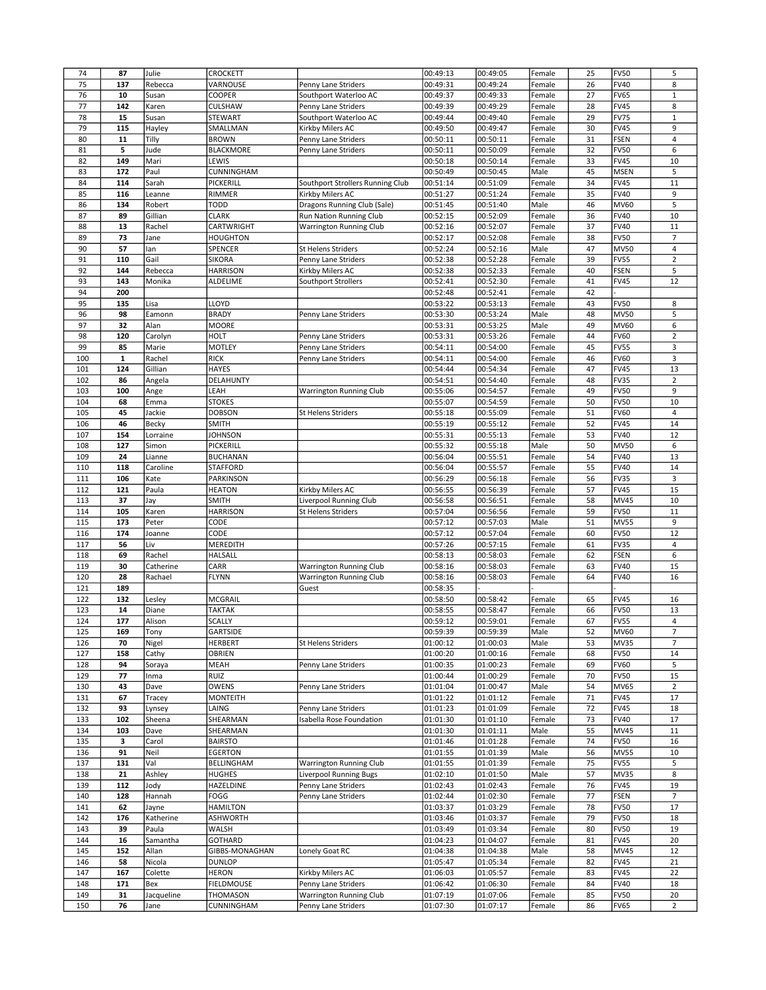| 74  | 87          | Julie              | <b>CROCKETT</b>  |                                                | 00:49:13             | 00:49:05             | Female           | 25 | <b>FV50</b> | 5                    |
|-----|-------------|--------------------|------------------|------------------------------------------------|----------------------|----------------------|------------------|----|-------------|----------------------|
| 75  | 137         | Rebecca            | VARNOUSE         | Penny Lane Striders                            | 00:49:31             | 00:49:24             | Female           | 26 | <b>FV40</b> | 8                    |
| 76  | 10          | Susan              | COOPER           | Southport Waterloo AC                          | 00:49:37             | 00:49:33             | Female           | 27 | <b>FV65</b> | $1\,$                |
| 77  | 142         | Karen              | <b>CULSHAW</b>   | Penny Lane Striders                            | 00:49:39             | 00:49:29             | Female           | 28 | <b>FV45</b> | 8                    |
| 78  | 15          | Susan              | <b>STEWART</b>   | Southport Waterloo AC                          | 00:49:44             | 00:49:40             | Female           | 29 | <b>FV75</b> | $\,1\,$              |
| 79  | 115         | Hayley             | SMALLMAN         | Kirkby Milers AC                               | 00:49:50             | 00:49:47             | Female           | 30 | <b>FV45</b> | 9                    |
| 80  | 11          | Tilly              | <b>BROWN</b>     | Penny Lane Striders                            | 00:50:11             | 00:50:11             | Female           | 31 | <b>FSEN</b> | $\overline{4}$       |
| 81  | 5           | Jude               | <b>BLACKMORE</b> | Penny Lane Striders                            | 00:50:11             | 00:50:09             | Female           | 32 | <b>FV50</b> | 6                    |
| 82  | 149         | Mari               | LEWIS            |                                                | 00:50:18             | 00:50:14             | Female           | 33 | <b>FV45</b> | 10                   |
|     |             |                    |                  |                                                |                      |                      |                  |    |             |                      |
| 83  | 172         | Paul               | CUNNINGHAM       |                                                | 00:50:49             | 00:50:45             | Male             | 45 | <b>MSEN</b> | 5                    |
| 84  | 114         | Sarah              | PICKERILL        | Southport Strollers Running Club               | 00:51:14             | 00:51:09             | Female           | 34 | <b>FV45</b> | $11\,$               |
| 85  | 116         | Leanne             | RIMMER           | Kirkby Milers AC                               | 00:51:27             | 00:51:24             | Female           | 35 | <b>FV40</b> | 9                    |
| 86  | 134         | Robert             | <b>TODD</b>      | Dragons Running Club (Sale)                    | 00:51:45             | 00:51:40             | Male             | 46 | <b>MV60</b> | 5                    |
| 87  | 89          | Gillian            | <b>CLARK</b>     | Run Nation Running Club                        | 00:52:15             | 00:52:09             | Female           | 36 | <b>FV40</b> | 10                   |
| 88  | 13          | Rachel             | CARTWRIGHT       | Warrington Running Club                        | 00:52:16             | 00:52:07             | Female           | 37 | <b>FV40</b> | 11                   |
| 89  | 73          | Jane               | <b>HOUGHTON</b>  |                                                | 00:52:17             | 00:52:08             | Female           | 38 | <b>FV50</b> | $\overline{7}$       |
| 90  | 57          | lan                | SPENCER          | St Helens Striders                             | 00:52:24             | 00:52:16             | Male             | 47 | <b>MV50</b> | $\sqrt{4}$           |
| 91  | 110         | Gail               | <b>SIKORA</b>    | Penny Lane Striders                            | 00:52:38             | 00:52:28             | Female           | 39 | <b>FV55</b> | $\overline{2}$       |
| 92  | 144         | Rebecca            | <b>HARRISON</b>  | Kirkby Milers AC                               | 00:52:38             | 00:52:33             | Female           | 40 | FSEN        | 5                    |
| 93  | 143         | Monika             | ALDELIME         | Southport Strollers                            | 00:52:41             | 00:52:30             | Female           | 41 | <b>FV45</b> | 12                   |
| 94  | 200         |                    |                  |                                                | 00:52:48             | 00:52:41             | Female           | 42 |             |                      |
| 95  | 135         | Lisa               | LLOYD            |                                                | 00:53:22             | 00:53:13             | Female           | 43 | <b>FV50</b> | 8                    |
| 96  | 98          | Eamonn             | <b>BRADY</b>     | Penny Lane Striders                            | 00:53:30             | 00:53:24             | Male             | 48 | <b>MV50</b> | 5                    |
| 97  | 32          | Alan               | <b>MOORE</b>     |                                                | 00:53:31             | 00:53:25             | Male             | 49 | <b>MV60</b> | $\boldsymbol{6}$     |
| 98  | 120         |                    | <b>HOLT</b>      | Penny Lane Striders                            | 00:53:31             | 00:53:26             | Female           | 44 | <b>FV60</b> | $\sqrt{2}$           |
|     |             | Carolyn            |                  |                                                |                      |                      | Female           |    |             |                      |
| 99  | 85          | Marie              | <b>MOTLEY</b>    | Penny Lane Striders                            | 00:54:11             | 00:54:00             |                  | 45 | <b>FV55</b> | 3                    |
| 100 | $\mathbf 1$ | Rachel             | <b>RICK</b>      | Penny Lane Striders                            | 00:54:11             | 00:54:00             | Female           | 46 | <b>FV60</b> | 3                    |
| 101 | 124         | Gillian            | <b>HAYES</b>     |                                                | 00:54:44             | 00:54:34             | Female           | 47 | <b>FV45</b> | 13                   |
| 102 | 86          | Angela             | DELAHUNTY        |                                                | 00:54:51             | 00:54:40             | Female           | 48 | <b>FV35</b> | $\overline{2}$       |
| 103 | 100         | Ange               | LEAH             | Warrington Running Club                        | 00:55:06             | 00:54:57             | Female           | 49 | <b>FV50</b> | 9                    |
| 104 | 68          | Emma               | <b>STOKES</b>    |                                                | 00:55:07             | 00:54:59             | Female           | 50 | <b>FV50</b> | 10                   |
| 105 | 45          | Jackie             | <b>DOBSON</b>    | <b>St Helens Striders</b>                      | 00:55:18             | 00:55:09             | Female           | 51 | <b>FV60</b> | $\overline{4}$       |
| 106 | 46          | Becky              | <b>SMITH</b>     |                                                | 00:55:19             | 00:55:12             | Female           | 52 | <b>FV45</b> | 14                   |
| 107 | 154         | Lorraine           | <b>JOHNSON</b>   |                                                | 00:55:31             | 00:55:13             | Female           | 53 | <b>FV40</b> | 12                   |
| 108 | 127         | Simon              | PICKERILL        |                                                | 00:55:32             | 00:55:18             | Male             | 50 | <b>MV50</b> | $\boldsymbol{6}$     |
| 109 | 24          | Lianne             | <b>BUCHANAN</b>  |                                                | 00:56:04             | 00:55:51             | Female           | 54 | <b>FV40</b> | 13                   |
| 110 | 118         | Caroline           | <b>STAFFORD</b>  |                                                | 00:56:04             | 00:55:57             | Female           | 55 | <b>FV40</b> | 14                   |
| 111 | 106         | Kate               | PARKINSON        |                                                | 00:56:29             | 00:56:18             | Female           | 56 | <b>FV35</b> | 3                    |
| 112 | 121         | Paula              | <b>HEATON</b>    | Kirkby Milers AC                               | 00:56:55             | 00:56:39             | Female           | 57 | <b>FV45</b> | 15                   |
| 113 | 37          | Jay                | <b>SMITH</b>     | Liverpool Running Club                         | 00:56:58             | 00:56:51             | Female           | 58 | <b>MV45</b> | 10                   |
| 114 | 105         | Karen              | <b>HARRISON</b>  | St Helens Striders                             | 00:57:04             | 00:56:56             | Female           | 59 | <b>FV50</b> | 11                   |
|     |             |                    |                  |                                                |                      |                      |                  |    |             | 9                    |
| 115 | 173         | Peter              | CODE<br>CODE     |                                                | 00:57:12             | 00:57:03             | Male             | 51 | <b>MV55</b> | 12                   |
| 116 | 174         | Joanne             |                  |                                                | 00:57:12             | 00:57:04             | Female           | 60 | <b>FV50</b> |                      |
| 117 | 56          | Liv                | MEREDITH         |                                                | 00:57:26             | 00:57:15             | Female           | 61 | <b>FV35</b> | $\overline{4}$       |
| 118 | 69          | Rachel             | <b>HALSALL</b>   |                                                | 00:58:13             | 00:58:03             | Female           | 62 | FSEN        | 6                    |
| 119 | 30          | Catherine          | CARR             | Warrington Running Club                        | 00:58:16             | 00:58:03             | Female           | 63 | <b>FV40</b> | 15                   |
| 120 | 28          | Rachael            | <b>FLYNN</b>     | Warrington Running Club                        | 00:58:16             | 00:58:03             | Female           | 64 | <b>FV40</b> | 16                   |
| 121 | 189         |                    |                  | Guest                                          | 00:58:35             |                      |                  |    |             |                      |
| 122 | 132         |                    |                  |                                                |                      |                      |                  |    |             |                      |
| 123 |             | Lesley             | MCGRAIL          |                                                | 00:58:50             | 00:58:42             | Female           | 65 | <b>FV45</b> | 16                   |
|     | 14          | Diane              | <b>TAKTAK</b>    |                                                | 00:58:55             | 00:58:47             | Female           | 66 | <b>FV50</b> | 13                   |
| 124 | 177         | Alison             | <b>SCALLY</b>    |                                                | 00:59:12             | 00:59:01             | Female           | 67 | <b>FV55</b> | $\overline{4}$       |
| 125 | 169         | Tony               | GARTSIDE         |                                                | 00:59:39             | 00:59:39             | Male             | 52 | MV60        | $\overline{7}$       |
| 126 | 70          | Nigel              | <b>HERBERT</b>   | St Helens Striders                             | 01:00:12             | 01:00:03             | Male             | 53 | <b>MV35</b> | $\overline{7}$       |
| 127 | 158         | Cathy              | OBRIEN           |                                                | 01:00:20             | 01:00:16             | Female           | 68 | <b>FV50</b> | 14                   |
| 128 | 94          | Soraya             | MEAH             | Penny Lane Striders                            | 01:00:35             | 01:00:23             | Female           | 69 | <b>FV60</b> | 5                    |
| 129 | 77          | Inma               | RUIZ             |                                                | 01:00:44             | 01:00:29             | Female           | 70 | <b>FV50</b> | 15                   |
| 130 | 43          | Dave               | <b>OWENS</b>     | Penny Lane Striders                            | 01:01:04             | 01:00:47             | Male             | 54 | <b>MV65</b> | $\overline{2}$       |
| 131 | 67          | Tracey             | <b>MONTEITH</b>  |                                                | 01:01:22             | 01:01:12             | Female           | 71 | <b>FV45</b> | 17                   |
|     | 93          |                    |                  |                                                |                      |                      |                  |    |             |                      |
| 132 |             | Lynsey             | LAING            | Penny Lane Striders                            | 01:01:23             | 01:01:09             | Female           | 72 | <b>FV45</b> | 18                   |
| 133 | 102         | Sheena             | SHEARMAN         | Isabella Rose Foundation                       | 01:01:30             | 01:01:10             | Female           | 73 | <b>FV40</b> | 17                   |
| 134 | 103         | Dave               | SHEARMAN         |                                                | 01:01:30             | 01:01:11             | Male             | 55 | <b>MV45</b> | 11                   |
| 135 | 3           | Carol              | <b>BAIRSTO</b>   |                                                | 01:01:46             | 01:01:28             | Female           | 74 | <b>FV50</b> | 16                   |
| 136 | 91          | Neil               | <b>EGERTON</b>   |                                                | 01:01:55             | 01:01:39             | Male             | 56 | <b>MV55</b> | 10                   |
| 137 | 131         | Val                | BELLINGHAM       | Warrington Running Club                        | 01:01:55             | 01:01:39             | Female           | 75 | <b>FV55</b> | 5                    |
| 138 | 21          | Ashley             | <b>HUGHES</b>    | Liverpool Running Bugs                         | 01:02:10             | 01:01:50             | Male             | 57 | <b>MV35</b> | 8                    |
| 139 | 112         | Jody               | HAZELDINE        | Penny Lane Striders                            | 01:02:43             | 01:02:43             | Female           | 76 | <b>FV45</b> | 19                   |
| 140 | 128         | Hannah             | FOGG             | Penny Lane Striders                            | 01:02:44             | 01:02:30             | Female           | 77 | <b>FSEN</b> | $\overline{7}$       |
| 141 | 62          | Jayne              | <b>HAMILTON</b>  |                                                | 01:03:37             | 01:03:29             | Female           | 78 | <b>FV50</b> | 17                   |
| 142 | 176         | Katherine          | <b>ASHWORTH</b>  |                                                | 01:03:46             | 01:03:37             | Female           | 79 | <b>FV50</b> | 18                   |
| 143 | 39          | Paula              | <b>WALSH</b>     |                                                | 01:03:49             | 01:03:34             | Female           | 80 | <b>FV50</b> | 19                   |
| 144 | 16          | Samantha           | <b>GOTHARD</b>   |                                                | 01:04:23             | 01:04:07             | Female           | 81 | <b>FV45</b> | 20                   |
| 145 | 152         | Allan              | GIBBS-MONAGHAN   | Lonely Goat RC                                 | 01:04:38             | 01:04:38             | Male             | 58 | <b>MV45</b> | 12                   |
| 146 | 58          | Nicola             | <b>DUNLOP</b>    |                                                | 01:05:47             | 01:05:34             | Female           | 82 | <b>FV45</b> | 21                   |
| 147 | 167         | Colette            | <b>HERON</b>     | Kirkby Milers AC                               | 01:06:03             | 01:05:57             | Female           | 83 | <b>FV45</b> | 22                   |
| 148 | 171         | Bex                | FIELDMOUSE       | Penny Lane Striders                            | 01:06:42             | 01:06:30             | Female           | 84 | <b>FV40</b> | 18                   |
| 149 | 31          |                    | THOMASON         |                                                |                      |                      |                  | 85 | <b>FV50</b> |                      |
| 150 | 76          | Jacqueline<br>Jane | CUNNINGHAM       | Warrington Running Club<br>Penny Lane Striders | 01:07:19<br>01:07:30 | 01:07:06<br>01:07:17 | Female<br>Female | 86 | <b>FV65</b> | 20<br>$\overline{2}$ |